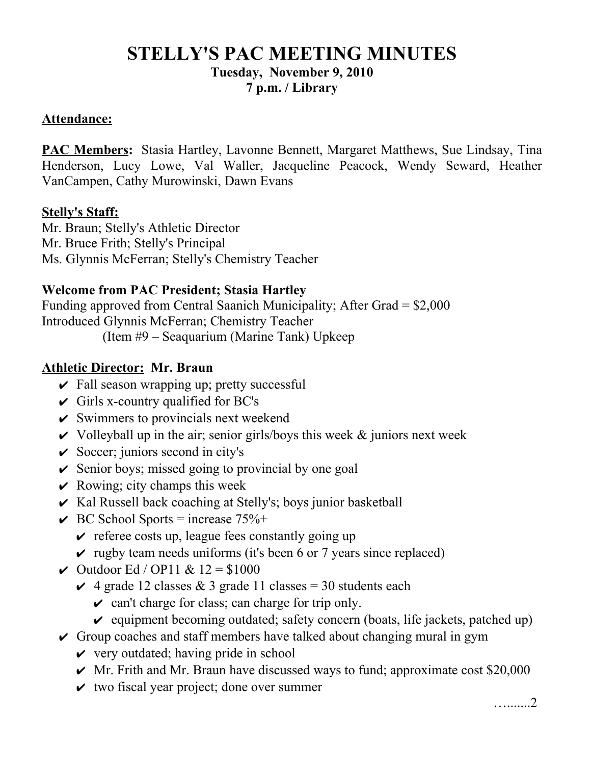# **STELLY'S PAC MEETING MINUTES Tuesday, November 9, 2010 7 p.m. / Library**

#### **Attendance:**

**PAC Members:** Stasia Hartley, Lavonne Bennett, Margaret Matthews, Sue Lindsay, Tina Henderson, Lucy Lowe, Val Waller, Jacqueline Peacock, Wendy Seward, Heather VanCampen, Cathy Murowinski, Dawn Evans

#### **Stelly's Staff:**

Mr. Braun; Stelly's Athletic Director Mr. Bruce Frith; Stelly's Principal Ms. Glynnis McFerran; Stelly's Chemistry Teacher

## **Welcome from PAC President; Stasia Hartley**

Funding approved from Central Saanich Municipality; After Grad = \$2,000 Introduced Glynnis McFerran; Chemistry Teacher

(Item #9 – Seaquarium (Marine Tank) Upkeep

## **Athletic Director: Mr. Braun**

- $\vee$  Fall season wrapping up; pretty successful
- $\checkmark$  Girls x-country qualified for BC's
- $\checkmark$  Swimmers to provincials next weekend
- $\vee$  Volleyball up in the air; senior girls/boys this week & juniors next week
- $\vee$  Soccer; juniors second in city's
- $\vee$  Senior boys; missed going to provincial by one goal
- $\vee$  Rowing; city champs this week
- $\checkmark$  Kal Russell back coaching at Stelly's; boys junior basketball
- $\vee$  BC School Sports = increase 75%+
	- $\vee$  referee costs up, league fees constantly going up
	- $\vee$  rugby team needs uniforms (it's been 6 or 7 years since replaced)
- $\vee$  Outdoor Ed / OP11 & 12 = \$1000
	- $\vee$  4 grade 12 classes & 3 grade 11 classes = 30 students each
		- $\vee$  can't charge for class; can charge for trip only.
		- $\vee$  equipment becoming outdated; safety concern (boats, life jackets, patched up)
- $\vee$  Group coaches and staff members have talked about changing mural in gym
	- $\vee$  very outdated; having pride in school
	- $\vee$  Mr. Frith and Mr. Braun have discussed ways to fund; approximate cost \$20,000
	- $\vee$  two fiscal year project; done over summer

….......2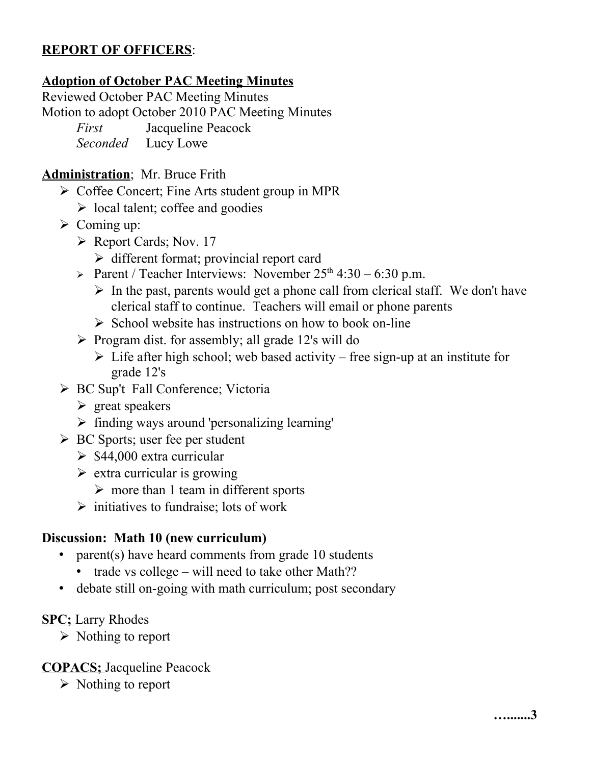# **REPORT OF OFFICERS**:

# **Adoption of October PAC Meeting Minutes**

Reviewed October PAC Meeting Minutes

Motion to adopt October 2010 PAC Meeting Minutes

*First* Jacqueline Peacock

*Seconded* Lucy Lowe

# **Administration**; Mr. Bruce Frith

- ➢ Coffee Concert; Fine Arts student group in MPR
	- $\triangleright$  local talent; coffee and goodies
- $\triangleright$  Coming up:
	- ➢ Report Cards; Nov. 17
		- ➢ different format; provincial report card
	- $\triangleright$  Parent / Teacher Interviews: November 25<sup>th</sup> 4:30 6:30 p.m.
		- $\triangleright$  In the past, parents would get a phone call from clerical staff. We don't have clerical staff to continue. Teachers will email or phone parents
		- $\triangleright$  School website has instructions on how to book on-line
	- ➢ Program dist. for assembly; all grade 12's will do
		- $\triangleright$  Life after high school; web based activity free sign-up at an institute for grade 12's
- ➢ BC Sup't Fall Conference; Victoria
	- $\triangleright$  great speakers
	- ➢ finding ways around 'personalizing learning'
- ➢ BC Sports; user fee per student
	- $\geq$  \$44,000 extra curricular
	- $\triangleright$  extra curricular is growing
		- $\triangleright$  more than 1 team in different sports
	- $\triangleright$  initiatives to fundraise; lots of work

# **Discussion: Math 10 (new curriculum)**

- parent(s) have heard comments from grade 10 students
	- trade vs college will need to take other Math??
- debate still on-going with math curriculum; post secondary

# **SPC;** Larry Rhodes

➢ Nothing to report

# **COPACS;** Jacqueline Peacock

➢ Nothing to report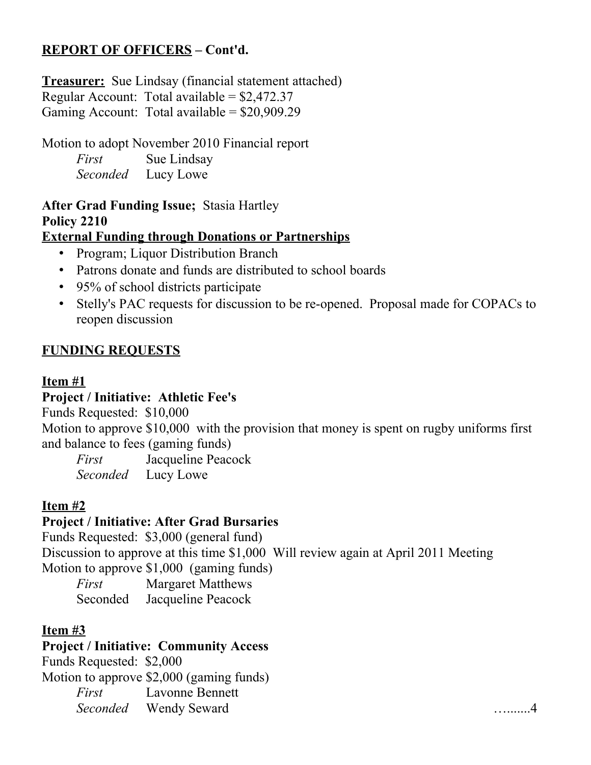# **REPORT OF OFFICERS – Cont'd.**

**Treasurer:** Sue Lindsay (financial statement attached) Regular Account: Total available =  $$2,472.37$ Gaming Account: Total available = \$20,909.29

Motion to adopt November 2010 Financial report *First* Sue Lindsay *Seconded* Lucy Lowe

# **After Grad Funding Issue;** Stasia Hartley **Policy 2210**

## **External Funding through Donations or Partnerships**

- Program; Liquor Distribution Branch
- Patrons donate and funds are distributed to school boards
- 95% of school districts participate
- Stelly's PAC requests for discussion to be re-opened. Proposal made for COPACs to reopen discussion

## **FUNDING REQUESTS**

## **Item #1**

# **Project / Initiative: Athletic Fee's**

Funds Requested: \$10,000

Motion to approve \$10,000 with the provision that money is spent on rugby uniforms first and balance to fees (gaming funds)

*First* Jacqueline Peacock *Seconded* Lucy Lowe

# **Item #2**

# **Project / Initiative: After Grad Bursaries**

Funds Requested: \$3,000 (general fund) Discussion to approve at this time \$1,000 Will review again at April 2011 Meeting Motion to approve \$1,000 (gaming funds)

*First* Margaret Matthews Seconded Jacqueline Peacock

# **Item #3**

# **Project / Initiative: Community Access**

Funds Requested: \$2,000 Motion to approve \$2,000 (gaming funds) *First* Lavonne Bennett *Seconded* Wendy Seward ….......4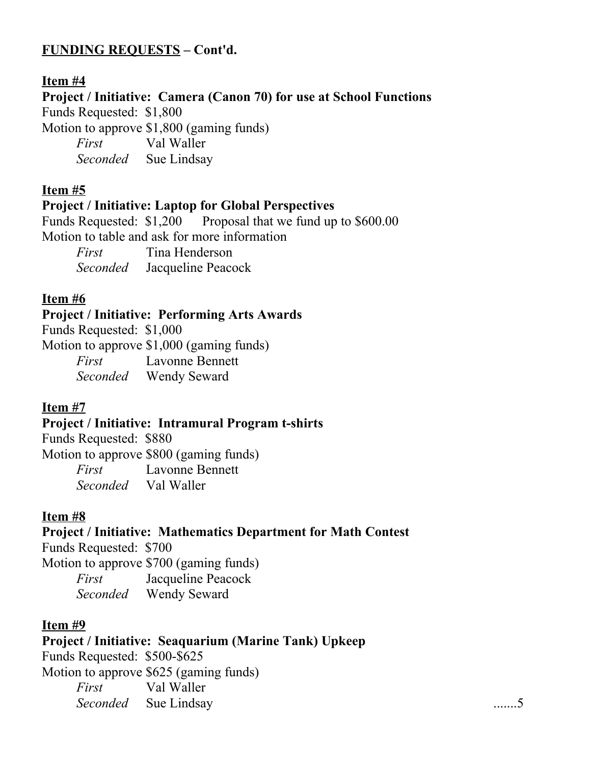# **FUNDING REQUESTS – Cont'd.**

## **Item #4**

**Project / Initiative: Camera (Canon 70) for use at School Functions**

Funds Requested: \$1,800

Motion to approve \$1,800 (gaming funds)

*First* Val Waller *Seconded* Sue Lindsay

## **Item #5**

#### **Project / Initiative: Laptop for Global Perspectives**

Funds Requested:  $$1,200$  Proposal that we fund up to  $$600.00$ Motion to table and ask for more information

*First* Tina Henderson *Seconded* Jacqueline Peacock

## **Item #6**

## **Project / Initiative: Performing Arts Awards**

Funds Requested: \$1,000

Motion to approve \$1,000 (gaming funds)

*First* Lavonne Bennett *Seconded* Wendy Seward

## **Item #7**

## **Project / Initiative: Intramural Program t-shirts**

Funds Requested: \$880 Motion to approve \$800 (gaming funds) *First* Lavonne Bennett *Seconded* Val Waller

# **Item #8**

# **Project / Initiative: Mathematics Department for Math Contest**

Funds Requested: \$700

Motion to approve \$700 (gaming funds) *First* Jacqueline Peacock

*Seconded* Wendy Seward

## **Item #9**

# **Project / Initiative: Seaquarium (Marine Tank) Upkeep**

Funds Requested: \$500-\$625 Motion to approve \$625 (gaming funds) *First* Val Waller *Seconded* Sue Lindsay .......5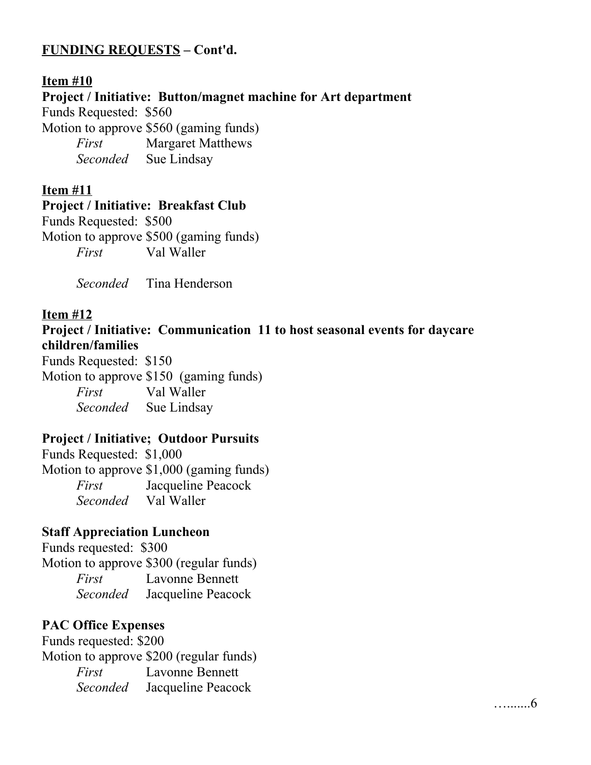# **FUNDING REQUESTS – Cont'd.**

## **Item #10 Project / Initiative: Button/magnet machine for Art department** Funds Requested: \$560 Motion to approve \$560 (gaming funds) *First* Margaret Matthews *Seconded* Sue Lindsay

#### **Item #11**

#### **Project / Initiative: Breakfast Club**

Funds Requested: \$500

Motion to approve \$500 (gaming funds) *First* Val Waller

*Seconded* Tina Henderson

## **Item #12**

## **Project / Initiative: Communication 11 to host seasonal events for daycare children/families**

….......6

Funds Requested: \$150 Motion to approve \$150 (gaming funds) *First* Val Waller *Seconded* Sue Lindsay

# **Project / Initiative; Outdoor Pursuits**

Funds Requested: \$1,000 Motion to approve \$1,000 (gaming funds) *First* Jacqueline Peacock *Seconded* Val Waller

## **Staff Appreciation Luncheon**

Funds requested: \$300 Motion to approve \$300 (regular funds) *First* Lavonne Bennett *Seconded* Jacqueline Peacock

## **PAC Office Expenses**

Funds requested: \$200 Motion to approve \$200 (regular funds) *First* Lavonne Bennett *Seconded* Jacqueline Peacock